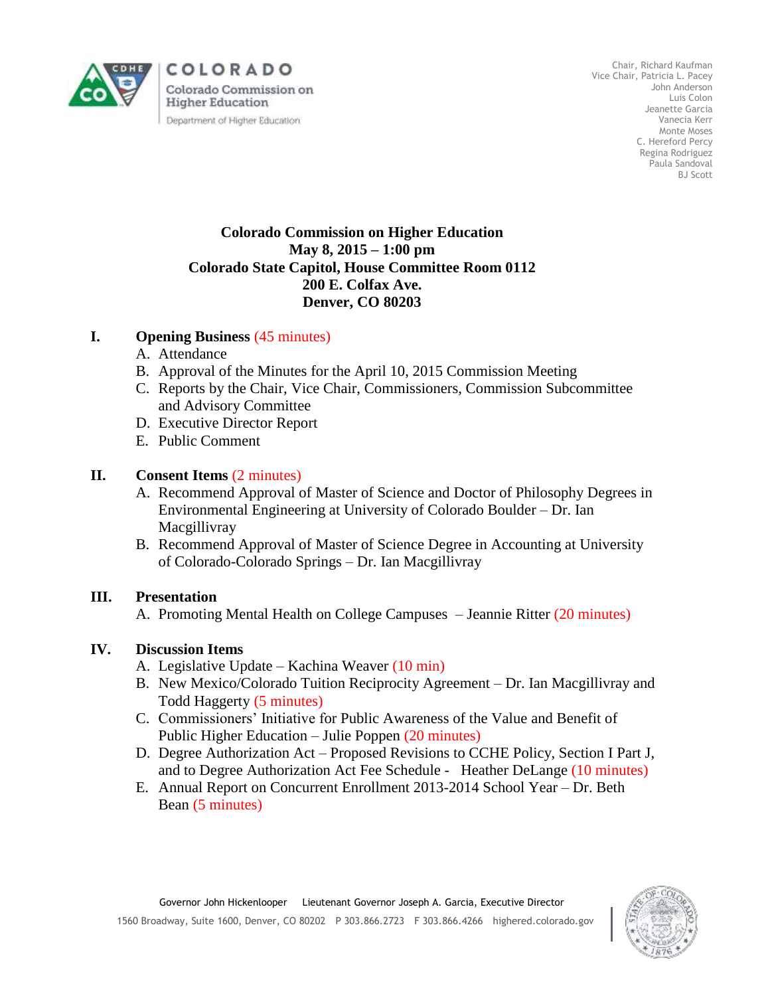

COLORADO Colorado Commission on **Higher Education** Department of Higher Education

Chair, Richard Kaufman Vice Chair, Patricia L. Pacey John Anderson Luis Colon Jeanette Garcia Vanecia Kerr Monte Moses C. Hereford Percy Regina Rodriguez Paula Sandoval BJ Scott

#### **Colorado Commission on Higher Education May 8, 2015 – 1:00 pm Colorado State Capitol, House Committee Room 0112 200 E. Colfax Ave. Denver, CO 80203**

## **I. Opening Business** (45 minutes)

- A. Attendance
- B. Approval of the Minutes for the April 10, 2015 Commission Meeting
- C. Reports by the Chair, Vice Chair, Commissioners, Commission Subcommittee and Advisory Committee
- D. Executive Director Report
- E. Public Comment

## **II. Consent Items** (2 minutes)

- A. Recommend Approval of Master of Science and Doctor of Philosophy Degrees in Environmental Engineering at University of Colorado Boulder – Dr. Ian Macgillivray
- B. Recommend Approval of Master of Science Degree in Accounting at University of Colorado-Colorado Springs – Dr. Ian Macgillivray

#### **III. Presentation**

A. Promoting Mental Health on College Campuses – Jeannie Ritter (20 minutes)

## **IV. Discussion Items**

- A. Legislative Update Kachina Weaver (10 min)
- B. New Mexico/Colorado Tuition Reciprocity Agreement Dr. Ian Macgillivray and Todd Haggerty (5 minutes)
- C. Commissioners' Initiative for Public Awareness of the Value and Benefit of Public Higher Education – Julie Poppen (20 minutes)
- D. Degree Authorization Act Proposed Revisions to CCHE Policy, Section I Part J, and to Degree Authorization Act Fee Schedule - Heather DeLange (10 minutes)
- E. Annual Report on Concurrent Enrollment 2013-2014 School Year Dr. Beth Bean (5 minutes)